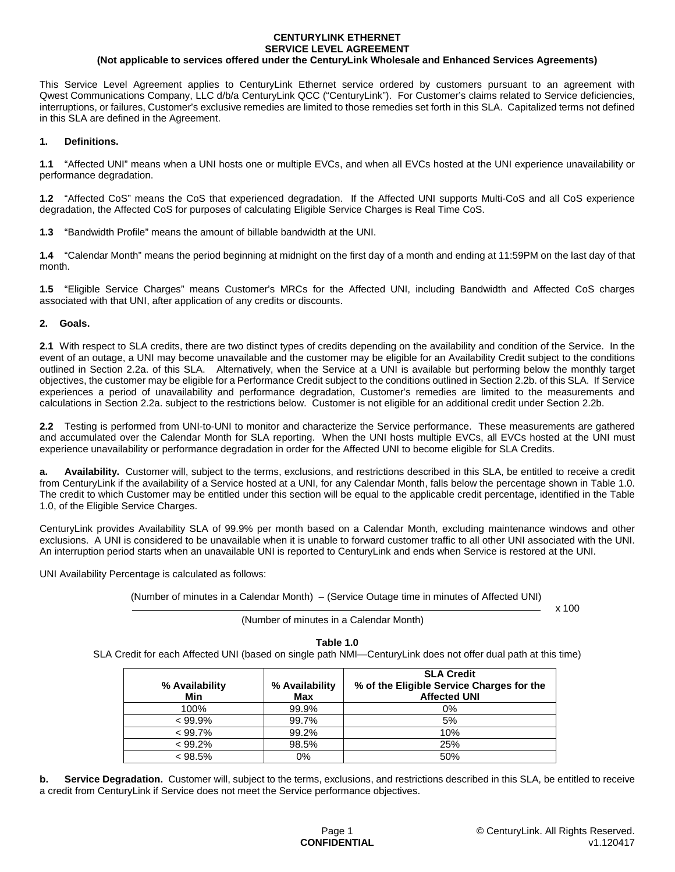# **CENTURYLINK ETHERNET SERVICE LEVEL AGREEMENT**

## **(Not applicable to services offered under the CenturyLink Wholesale and Enhanced Services Agreements)**

This Service Level Agreement applies to CenturyLink Ethernet service ordered by customers pursuant to an agreement with Qwest Communications Company, LLC d/b/a CenturyLink QCC ("CenturyLink"). For Customer's claims related to Service deficiencies, interruptions, or failures, Customer's exclusive remedies are limited to those remedies set forth in this SLA. Capitalized terms not defined in this SLA are defined in the Agreement.

#### **1. Definitions.**

**1.1** "Affected UNI" means when a UNI hosts one or multiple EVCs, and when all EVCs hosted at the UNI experience unavailability or performance degradation.

**1.2** "Affected CoS" means the CoS that experienced degradation. If the Affected UNI supports Multi-CoS and all CoS experience degradation, the Affected CoS for purposes of calculating Eligible Service Charges is Real Time CoS.

**1.3** "Bandwidth Profile" means the amount of billable bandwidth at the UNI.

**1.4** "Calendar Month" means the period beginning at midnight on the first day of a month and ending at 11:59PM on the last day of that month.

**1.5** "Eligible Service Charges" means Customer's MRCs for the Affected UNI, including Bandwidth and Affected CoS charges associated with that UNI, after application of any credits or discounts.

#### **2. Goals.**

**2.1** With respect to SLA credits, there are two distinct types of credits depending on the availability and condition of the Service. In the event of an outage, a UNI may become unavailable and the customer may be eligible for an Availability Credit subject to the conditions outlined in Section 2.2a. of this SLA. Alternatively, when the Service at a UNI is available but performing below the monthly target objectives, the customer may be eligible for a Performance Credit subject to the conditions outlined in Section 2.2b. of this SLA. If Service experiences a period of unavailability and performance degradation, Customer's remedies are limited to the measurements and calculations in Section 2.2a. subject to the restrictions below. Customer is not eligible for an additional credit under Section 2.2b.

**2.2** Testing is performed from UNI-to-UNI to monitor and characterize the Service performance. These measurements are gathered and accumulated over the Calendar Month for SLA reporting. When the UNI hosts multiple EVCs, all EVCs hosted at the UNI must experience unavailability or performance degradation in order for the Affected UNI to become eligible for SLA Credits.

**a. Availability.** Customer will, subject to the terms, exclusions, and restrictions described in this SLA, be entitled to receive a credit from CenturyLink if the availability of a Service hosted at a UNI, for any Calendar Month, falls below the percentage shown in Table 1.0. The credit to which Customer may be entitled under this section will be equal to the applicable credit percentage, identified in the Table 1.0, of the Eligible Service Charges.

CenturyLink provides Availability SLA of 99.9% per month based on a Calendar Month, excluding maintenance windows and other exclusions. A UNI is considered to be unavailable when it is unable to forward customer traffic to all other UNI associated with the UNI. An interruption period starts when an unavailable UNI is reported to CenturyLink and ends when Service is restored at the UNI.

UNI Availability Percentage is calculated as follows:

(Number of minutes in a Calendar Month) – (Service Outage time in minutes of Affected UNI)

 $x$  100

(Number of minutes in a Calendar Month)

## **Table 1.0**

SLA Credit for each Affected UNI (based on single path NMI—CenturyLink does not offer dual path at this time)

| % Availability<br>Min | % Availability<br>Max | <b>SLA Credit</b><br>% of the Eligible Service Charges for the<br><b>Affected UNI</b> |
|-----------------------|-----------------------|---------------------------------------------------------------------------------------|
| 100%                  | 99.9%                 | $0\%$                                                                                 |
| $< 99.9\%$            | 99.7%                 | 5%                                                                                    |
| $< 99.7\%$            | 99.2%                 | 10%                                                                                   |
| < 99.2%               | 98.5%                 | 25%                                                                                   |
| $< 98.5\%$            | 0%                    | 50%                                                                                   |

**b.** Service Degradation. Customer will, subject to the terms, exclusions, and restrictions described in this SLA, be entitled to receive a credit from CenturyLink if Service does not meet the Service performance objectives.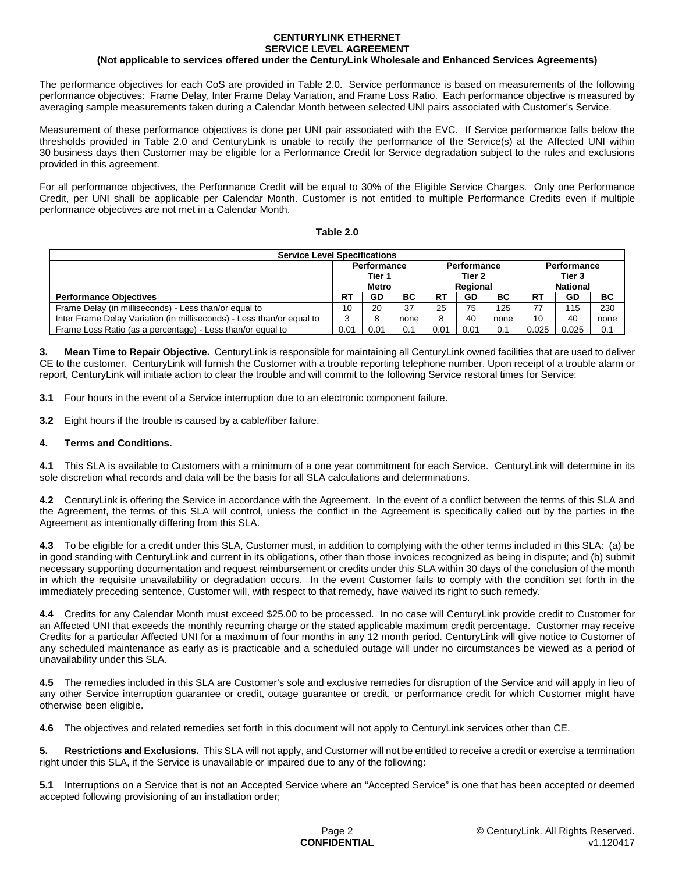#### **CENTURYLINK ETHERNET SERVICE LEVEL AGREEMENT**

## **(Not applicable to services offered under the CenturyLink Wholesale and Enhanced Services Agreements)**

The performance objectives for each CoS are provided in Table 2.0. Service performance is based on measurements of the following performance objectives: Frame Delay, Inter Frame Delay Variation, and Frame Loss Ratio. Each performance objective is measured by averaging sample measurements taken during a Calendar Month between selected UNI pairs associated with Customer's Service.

Measurement of these performance objectives is done per UNI pair associated with the EVC. If Service performance falls below the thresholds provided in Table 2.0 and CenturyLink is unable to rectify the performance of the Service(s) at the Affected UNI within 30 business days then Customer may be eligible for a Performance Credit for Service degradation subject to the rules and exclusions provided in this agreement.

For all performance objectives, the Performance Credit will be equal to 30% of the Eligible Service Charges. Only one Performance Credit, per UNI shall be applicable per Calendar Month. Customer is not entitled to multiple Performance Credits even if multiple performance objectives are not met in a Calendar Month.

## **Table 2.0**

| <b>Service Level Specifications</b>                                   |              |             |          |           |             |                 |       |                    |      |  |  |
|-----------------------------------------------------------------------|--------------|-------------|----------|-----------|-------------|-----------------|-------|--------------------|------|--|--|
|                                                                       |              | Performance |          |           | Performance |                 |       | <b>Performance</b> |      |  |  |
|                                                                       |              | Tier 1      |          |           | Tier 2      |                 |       | Tier 3             |      |  |  |
|                                                                       | <b>Metro</b> |             | Regional |           |             | <b>National</b> |       |                    |      |  |  |
| <b>Performance Objectives</b>                                         | <b>RT</b>    | GD          | ВC       | <b>RT</b> | GD          | BC              | RT    | GD                 | BC   |  |  |
| Frame Delay (in milliseconds) - Less than/or equal to                 | 10           | 20          | 37       | 25        | 75          | 125             |       | 115                | 230  |  |  |
| Inter Frame Delay Variation (in milliseconds) - Less than/or equal to |              |             | none     | 8         | 40          | none            | 10    | 40                 | none |  |  |
| Frame Loss Ratio (as a percentage) - Less than/or equal to            |              | 0.01        | 0.1      | 0.01      | 0.01        | 0.1             | 0.025 | 0.025              | 0.1  |  |  |

**3. Mean Time to Repair Objective.** CenturyLink is responsible for maintaining all CenturyLink owned facilities that are used to deliver CE to the customer. CenturyLink will furnish the Customer with a trouble reporting telephone number. Upon receipt of a trouble alarm or report, CenturyLink will initiate action to clear the trouble and will commit to the following Service restoral times for Service:

**3.1** Four hours in the event of a Service interruption due to an electronic component failure.

**3.2** Eight hours if the trouble is caused by a cable/fiber failure.

## **4. Terms and Conditions.**

**4.1** This SLA is available to Customers with a minimum of a one year commitment for each Service. CenturyLink will determine in its sole discretion what records and data will be the basis for all SLA calculations and determinations.

**4.2** CenturyLink is offering the Service in accordance with the Agreement. In the event of a conflict between the terms of this SLA and the Agreement, the terms of this SLA will control, unless the conflict in the Agreement is specifically called out by the parties in the Agreement as intentionally differing from this SLA.

**4.3** To be eligible for a credit under this SLA, Customer must, in addition to complying with the other terms included in this SLA: (a) be in good standing with CenturyLink and current in its obligations, other than those invoices recognized as being in dispute; and (b) submit necessary supporting documentation and request reimbursement or credits under this SLA within 30 days of the conclusion of the month in which the requisite unavailability or degradation occurs. In the event Customer fails to comply with the condition set forth in the immediately preceding sentence, Customer will, with respect to that remedy, have waived its right to such remedy.

**4.4** Credits for any Calendar Month must exceed \$25.00 to be processed. In no case will CenturyLink provide credit to Customer for an Affected UNI that exceeds the monthly recurring charge or the stated applicable maximum credit percentage. Customer may receive Credits for a particular Affected UNI for a maximum of four months in any 12 month period. CenturyLink will give notice to Customer of any scheduled maintenance as early as is practicable and a scheduled outage will under no circumstances be viewed as a period of unavailability under this SLA.

**4.5** The remedies included in this SLA are Customer's sole and exclusive remedies for disruption of the Service and will apply in lieu of any other Service interruption guarantee or credit, outage guarantee or credit, or performance credit for which Customer might have otherwise been eligible.

**4.6** The objectives and related remedies set forth in this document will not apply to CenturyLink services other than CE.

**5. Restrictions and Exclusions.** This SLA will not apply, and Customer will not be entitled to receive a credit or exercise a termination right under this SLA, if the Service is unavailable or impaired due to any of the following:

**5.1** Interruptions on a Service that is not an Accepted Service where an "Accepted Service" is one that has been accepted or deemed accepted following provisioning of an installation order;